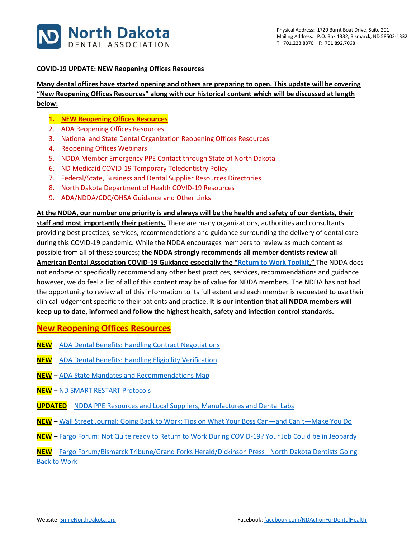

#### **COVID-19 UPDATE: NEW Reopening Offices Resources**

**Many dental offices have started opening and others are preparing to open. This update will be covering "New Reopening Offices Resources" along with our historical content which will be discussed at length below:**

- **1. NEW Reopening Offices Resources**
- 2. ADA Reopening Offices Resources
- 3. National and State Dental Organization Reopening Offices Resources
- 4. Reopening Offices Webinars
- 5. NDDA Member Emergency PPE Contact through State of North Dakota
- 6. ND Medicaid COVID-19 Temporary Teledentistry Policy
- 7. Federal/State, Business and Dental Supplier Resources Directories
- 8. North Dakota Department of Health COVID-19 Resources
- 9. ADA/NDDA/CDC/OHSA Guidance and Other Links

**At the NDDA, our number one priority is and always will be the health and safety of our dentists, their** 

**staff and most importantly their patients.** There are many organizations, authorities and consultants providing best practices, services, recommendations and guidance surrounding the delivery of dental care during this COVID-19 pandemic. While the NDDA encourages members to review as much content as possible from all of these sources; **the NDDA strongly recommends all member dentists review all American Dental Association COVID-19 Guidance especially the "[Return to Work Toolkit](https://pages.ada.org/return-to-work-toolkit-american-dental-association)."** The NDDA does not endorse or specifically recommend any other best practices, services, recommendations and guidance however, we do feel a list of all of this content may be of value for NDDA members. The NDDA has not had the opportunity to review all of this information to its full extent and each member is requested to use their clinical judgement specific to their patients and practice. **It is our intention that all NDDA members will keep up to date, informed and follow the highest health, safety and infection control standards.**

**New Reopening Offices Resources**

- **NEW** ADA [Dental Benefits: Handling Contract](https://success.ada.org/~/media/CPS/Files/COVID/Contract_Negotiations.pdf) Negotiations
- **NEW** ADA [Dental Benefits: Handling Eligibility Verification](https://success.ada.org/~/media/CPS/Files/COVID/Eligibility_verification.pdf)
- **NEW** ADA [State Mandates and Recommendations Map](https://success.ada.org/en/practice-management/patients/covid-19-state-mandates-and-recommendations)
- **NEW** [ND SMART RESTART Protocols](https://ndresponse.gov/covid-19-resources/covid-19-business-and-employer-resources/nd-smart-restart/nd-smart-restart-protocols)
- **UPDATED** [NDDA PPE Resources and Local Suppliers, Manufactures and Dental Labs](https://www.smilenorthdakota.org/docs/librariesprovider39/north-dakota/ppe-resources---5-4-20.pdf?sfvrsn=2)
- **NEW** Wall [Street Journal: Going Back to Work: Tips on What Your Boss Can](https://www.wsj.com/articles/going-back-to-work-tips-on-what-your-boss-canand-cantmake-you-do-11587682455?mod=searchresults)—and Can't—Make You Do
- **NEW** Fargo [Forum: Not Quite ready to Return to Work During COVID-19? Your Job Could be in Jeopardy](https://www.inforum.com/newsmd/coronavirus/6467396-Not-quite-ready-to-return-to-work-during-COVID-19-Your-job-could-be-in-jeopardy)

**NEW** – Fargo [Forum/Bismarck Tribune/Grand Forks Herald/Dickinson Press](https://www.inforum.com/newsmd/coronavirus/6461683-North-Dakota-dentists-get-OK-to-resume-routine-dental-care-on-May-1)– North Dakota Dentists Going [Back to Work](https://www.inforum.com/newsmd/coronavirus/6461683-North-Dakota-dentists-get-OK-to-resume-routine-dental-care-on-May-1)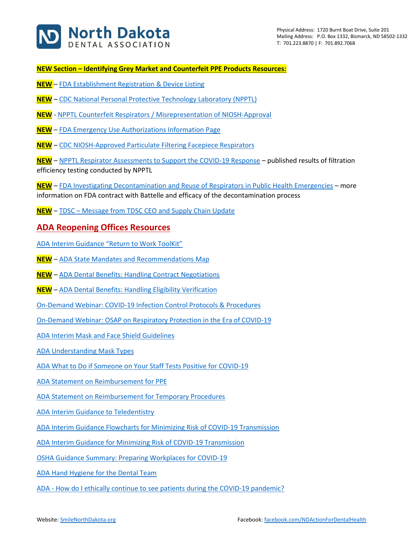

**NEW Section – Identifying Grey Market and Counterfeit PPE Products Resources:**

- **NEW** [FDA Establishment Registration & Device Listing](https://www.accessdata.fda.gov/scripts/cdrh/cfdocs/cfRL/rl.cfm)
- **NEW** [CDC National Personal Protective](https://www.cdc.gov/niosh/npptl/respirators/testing/NonNIOSH.html) Technology Laboratory (NPPTL)
- **NEW** [NPPTL Counterfeit Respirators / Misrepresentation of NIOSH-Approval](https://www.cdc.gov/niosh/npptl/usernotices/counterfeitResp.html)
- **NEW** [FDA Emergency Use Authorizations Information Page](https://www.fda.gov/medical-devices/emergency-situations-medical-devices/emergency-use-authorizations)
- **NEW** [CDC NIOSH-Approved Particulate Filtering Facepiece Respirators](https://www.cdc.gov/niosh/npptl/topics/respirators/disp_part/default.html)

**NEW** – [NPPTL Respirator Assessments to Support the COVID-19 Response](https://www.cdc.gov/niosh/npptl/respirators/testing/NonNIOSHresults.html) – published results of filtration efficiency testing conducted by NPPTL

**NEW** – [FDA Investigating Decontamination and Reuse of Respirators in Public Health Emergencies](https://www.fda.gov/emergency-preparedness-and-response/mcm-regulatory-science/investigating-decontamination-and-reuse-respirators-public-health-emergencies) – more information on FDA contract with Battelle and efficacy of the decontamination process

**NEW** – TDSC – [Message from TDSC CEO and Supply Chain Update](https://dentalsupplies.tdsc.com/video-resource-center#presentation)

#### **ADA Reopening Offices Resources**

[ADA Interim Guidance "Return to Work ToolKit"](https://pages.ada.org/return-to-work-toolkit-american-dental-association?utm_campaign=covid-19-Return-to-Work-Toolkit&utm_source=cpsorg-alert-bar&utm_medium=cpsalertbar-virus&utm_content=covid-19-interim-return-to-work)

- **NEW** [ADA State Mandates and Recommendations Map](https://success.ada.org/en/practice-management/patients/covid-19-state-mandates-and-recommendations)
- **NEW** [ADA Dental Benefits: Handling Contract Negotiations](https://success.ada.org/~/media/CPS/Files/COVID/Contract_Negotiations.pdf)
- **NEW** [ADA Dental Benefits: Handling Eligibility Verification](https://success.ada.org/~/media/CPS/Files/COVID/Eligibility_verification.pdf)
- [On-Demand Webinar: COVID-19 Infection Control Protocols & Procedures](https://ebusiness.ada.org/Education/viewcourse.aspx?id=400)
- [On-Demand Webinar: OSAP on Respiratory Protection in the Era of COVID-19](https://success.ada.org/en/practice-management/patients/digital-events/ada-and-osap-respiratory-protection-in-the-era-of-covid-19-webinar?utm_source=adaorg&utm_medium=virus-alertbar&utm_content=cv-safety-osap-webinar-042420&utm_campaign=covid-19)

[ADA Interim Mask and Face Shield Guidelines](https://success.ada.org/~/media/CPS/Files/COVID/ADA_Interim_Mask_and_Face_Shield_Guidelines.pdf)

[ADA Understanding Mask Types](https://success.ada.org/~/media/CPS/Files/COVID/ADA_COVID19_UnderstandingMasks.pdf)

- [ADA What to Do if Someone on Your Staff Tests Positive for COVID-19](https://success.ada.org/~/media/CPS/Files/COVID/A_Positive_COVID-19_Test_Result_On_Your_Staff.pdf)
- [ADA Statement on Reimbursement for PPE](https://success.ada.org/~/media/CPS/Files/COVID/ADA_Third_Party_Payer_Reimbursement_for_PPE.pdf?utm_source=cpsorg&utm_medium=covid-main-lp-pm&utm_content=cv-pm-tpp-ppe&utm_campaign=covid-19)
- [ADA Statement on Reimbursement for Temporary Procedures](https://success.ada.org/~/media/CPS/Files/COVID/ADA_Third_Party_Payer_Reimbursement_for_Temporary_Procedures.pdf?utm_source=cpsorg&utm_medium=covid-main-lp-pm&utm_content=cv-pm-tpp-temp-procedures&utm_campaign=covid-19)
- [ADA Interim Guidance to Teledentistry](https://success.ada.org/~/media/CPS/Files/COVID/ADA_COVID_Coding_and_Billing_Guidance.pdf?_ga=2.97948636.2132421290.1584909044-247932367.1547599179)
- [ADA Interim Guidance Flowcharts for Minimizing Risk of COVID-19 Transmission](https://www.ada.org/~/media/CPS/Files/COVID/ADA_COVID_Int_Guidance_Treat_Pts.pdf?utm_source=adaorg&utm_medium=covid-resources-lp&utm_content=cv-pm-ebd-interim-response&utm_campaign=covid-19)
- [ADA Interim Guidance for Minimizing Risk of COVID-19 Transmission](https://www.ada.org/~/media/CPS/Files/COVID/ADA_Int_Guidance_Mgmt_Emerg-Urg_Dental_COVID19.pdf?utm_source=adaorg&utm_medium=covid-resources-lp&utm_content=cv-pm-ebd-interim-flowchart&utm_campaign=covid-19)
- [OSHA Guidance Summary: Preparing Workplaces for COVID-19](https://success.ada.org/~/media/CPS/Files/COVID/OSHA_Guidance_on_Preparing_Workplaces_for_COVID-19.pdf?utm_source=adaorg&utm_medium=covid-resources-lp&utm_content=cv-safety-osha&utm_campaign=covid-19)
- [ADA Hand Hygiene for the Dental Team](https://success.ada.org/en/practice-management/dental-practice-success/dps-spring-2020/hand-hygiene-for-the-dental-team?utm_source=adaorg&utm_medium=covid-resources-lp&utm_content=hand-hygiene&utm_campaign=covid-19)
- ADA [How do I ethically continue to see patients](https://www.ada.org/~/media/CPS/Files/COVID/ADA_COVID_How_Do_I_Ethically_See_Patients_During_Pandemic.pdf) during the COVID-19 pandemic?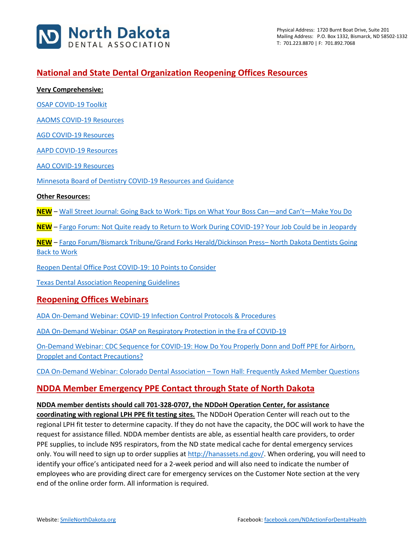

## **National and State Dental Organization Reopening Offices Resources**

**Very Comprehensive:**

[OSAP COVID-19 Toolkit](https://www.osap.org/page/COVID-19)

[AAOMS COVID-19 Resources](https://www.aaoms.org/practice-resources/covid-19-updates)

[AGD COVID-19 Resources](https://www.agd.org/coronavirus)

[AAPD COVID-19 Resources](https://www.aapd.org/about/about-aapd/news-room/covid-19/)

[AAO COVID-19 Resources](https://www1.aaoinfo.org/covid-19/)

[Minnesota Board of Dentistry COVID-19 Resources and Guidance](https://mn.gov/boards/dentistry/current-licensee/resources/covid19/)

#### **Other Resources:**

**NEW** – [Wall Street Journal: Going Back to Work: Tips on What Your Boss Can](https://www.wsj.com/articles/going-back-to-work-tips-on-what-your-boss-canand-cantmake-you-do-11587682455?mod=searchresults)—and Can't—Make You Do

**NEW** – [Fargo Forum: Not Quite ready to Return to Work During COVID-19? Your Job Could be in Jeopardy](https://www.inforum.com/newsmd/coronavirus/6467396-Not-quite-ready-to-return-to-work-during-COVID-19-Your-job-could-be-in-jeopardy)

**NEW** – [Fargo Forum/Bismarck Tribune/Grand Forks Herald/Dickinson Press](https://www.inforum.com/newsmd/coronavirus/6461683-North-Dakota-dentists-get-OK-to-resume-routine-dental-care-on-May-1)– North Dakota Dentists Going [Back to Work](https://www.inforum.com/newsmd/coronavirus/6461683-North-Dakota-dentists-get-OK-to-resume-routine-dental-care-on-May-1)

[Reopen Dental Office Post COVID-19: 10 Points to Consider](https://www.smilenorthdakota.org/docs/librariesprovider39/north-dakota/reopen-dental-office-post-covid-19-10-points-to-consider.pdf?sfvrsn=2)

[Texas Dental Association Reopening Guidelines](https://www.tda.org/Portals/0/COVID/TDA%20Final%20Guidelines%20Reopening%20Dental%20Offices_April%2021_2020.pdf?ver=2020-04-26-155158-407)

#### **Reopening Offices Webinars**

[ADA On-Demand Webinar: COVID-19 Infection Control Protocols & Procedures](https://ebusiness.ada.org/Education/viewcourse.aspx?id=400)

[ADA On-Demand Webinar: OSAP on Respiratory Protection in the Era of COVID-19](https://success.ada.org/en/practice-management/patients/digital-events/ada-and-osap-respiratory-protection-in-the-era-of-covid-19-webinar?utm_source=adaorg&utm_medium=virus-alertbar&utm_content=cv-safety-osap-webinar-042420&utm_campaign=covid-19)

[On-Demand Webinar: CDC Sequence for COVID-19: How Do You Properly Donn and Doff PPE for Airborn,](https://www.vumedi.com/video/ppe-donning-and-doffing-cdc-sequence-for-covid-19/)  [Dropplet and Contact Precautions?](https://www.vumedi.com/video/ppe-donning-and-doffing-cdc-sequence-for-covid-19/)

[CDA On-Demand Webinar: Colorado Dental Association](https://vimeo.com/409980125?ref=em-share) – Town Hall: Frequently Asked Member Questions

## **NDDA Member Emergency PPE Contact through State of North Dakota**

#### **NDDA member dentists should call 701-328-0707, the NDDoH Operation Center, for assistance**

**coordinating with regional LPH PPE fit testing sites.** The NDDoH Operation Center will reach out to the regional LPH fit tester to determine capacity. If they do not have the capacity, the DOC will work to have the request for assistance filled. NDDA member dentists are able, as essential health care providers, to order PPE supplies, to include N95 respirators, from the ND state medical cache for dental emergency services only. You will need to sign up to order supplies a[t http://hanassets.nd.gov/.](http://hanassets.nd.gov/) When ordering, you will need to identify your office's anticipated need for a 2-week period and will also need to indicate the number of employees who are providing direct care for emergency services on the Customer Note section at the very end of the online order form. All information is required.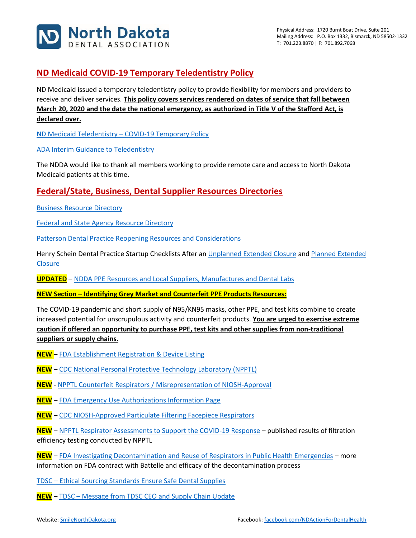

# **ND Medicaid COVID-19 Temporary Teledentistry Policy**

ND Medicaid issued a temporary teledentistry policy to provide flexibility for members and providers to receive and deliver services. **This policy covers services rendered on dates of service that fall between March 20, 2020 and the date the national emergency, as authorized in Title V of the Stafford Act, is declared over.**

ND Medicaid Teledentistry – [COVID-19 Temporary Policy](http://www.nd.gov/dhs/info/covid-19/docs/policy-medicaid-temporary-teledentistry.pdf)

[ADA Interim Guidance to Teledentistry](https://success.ada.org/~/media/CPS/Files/COVID/ADA_COVID_Coding_and_Billing_Guidance.pdf?_ga=2.97948636.2132421290.1584909044-247932367.1547599179)

The NDDA would like to thank all members working to provide remote care and access to North Dakota Medicaid patients at this time.

## **Federal/State, Business, Dental Supplier Resources Directories**

[Business Resource Directory](https://www.smilenorthdakota.org/docs/librariesprovider39/default-document-library/business-covid-19-resource-directory1.pdf?sfvrsn=2)

[Federal and State Agency Resource Directory](https://www.smilenorthdakota.org/docs/librariesprovider39/default-document-library/federal-amp-state-covid-19-resource-directory.pdf?sfvrsn=2)

[Patterson Dental Practice Reopening Resources and Considerations](https://liveshareeast3.seismic.com/i/7cwb0gfE0zY8p___PLUSSIGNQvwPnOcqlKegQd3NsJ___nEnirL1LKTxBKzmkh9ZYyjKxz1yKPLUSSIGNnRQWXIJ47DEvJGue2TzPLUSSIGNv11rA1LCRFqmWss0OL0lBWUQqfcQeXrU4mh1___NUQ___cBAi)

Henry Schein Dental Practice Startup Checklists After an [Unplanned Extended Closure](https://www.smilenorthdakota.org/docs/librariesprovider39/north-dakota/henry-shien-practice-startup-checklist-after-an-unplanned-extended-closure.pdf?sfvrsn=2) and Planned Extended **[Closure](https://www.smilenorthdakota.org/docs/librariesprovider39/north-dakota/henry-shien-practice-startup-checklist-after-a-planned-extended-closure.pdf?sfvrsn=2)** 

**UPDATED** – [NDDA PPE Resources and Local Suppliers, Manufactures and Dental Labs](https://www.smilenorthdakota.org/docs/librariesprovider39/north-dakota/ppe-resources---5-4-20.pdf?sfvrsn=2)

**NEW Section – Identifying Grey Market and Counterfeit PPE Products Resources:**

The COVID-19 pandemic and short supply of N95/KN95 masks, other PPE, and test kits combine to create increased potential for unscrupulous activity and counterfeit products. **You are urged to exercise extreme caution if offered an opportunity to purchase PPE, test kits and other supplies from non-traditional suppliers or supply chains.**

- **NEW** [FDA Establishment Registration & Device Listing](https://www.accessdata.fda.gov/scripts/cdrh/cfdocs/cfRL/rl.cfm)
- **NEW** [CDC National Personal Protective Technology Laboratory \(NPPTL\)](https://www.cdc.gov/niosh/npptl/respirators/testing/NonNIOSH.html)
- **NEW** [NPPTL Counterfeit Respirators / Misrepresentation](https://www.cdc.gov/niosh/npptl/usernotices/counterfeitResp.html) of NIOSH-Approval
- **NEW** [FDA Emergency Use Authorizations Information Page](https://www.fda.gov/medical-devices/emergency-situations-medical-devices/emergency-use-authorizations)
- **NEW** [CDC NIOSH-Approved Particulate Filtering Facepiece Respirators](https://www.cdc.gov/niosh/npptl/topics/respirators/disp_part/default.html)

**NEW** – [NPPTL Respirator Assessments to Support the COVID-19 Response](https://www.cdc.gov/niosh/npptl/respirators/testing/NonNIOSHresults.html) – published results of filtration efficiency testing conducted by NPPTL

**NEW** – [FDA Investigating Decontamination and Reuse of Respirators in Public Health Emergencies](https://www.fda.gov/emergency-preparedness-and-response/mcm-regulatory-science/investigating-decontamination-and-reuse-respirators-public-health-emergencies) – more information on FDA contract with Battelle and efficacy of the decontamination process

TDSC – [Ethical Sourcing Standards Ensure Safe Dental Supplies](https://dentalnews.tdsc.com/ethical-sourcing-standards)

**NEW** – TDSC – [Message from TDSC CEO and Supply Chain Update](https://dentalsupplies.tdsc.com/video-resource-center#presentation)